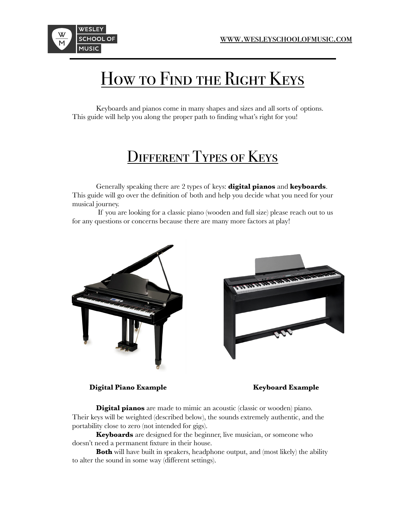

## How to Find the Right Keys

Keyboards and pianos come in many shapes and sizes and all sorts of options. This guide will help you along the proper path to finding what's right for you!

## **DIFFERENT TYPES OF KEYS**

Generally speaking there are 2 types of keys: **digital pianos** and **keyboards**. This guide will go over the definition of both and help you decide what you need for your musical journey.

 If you are looking for a classic piano (wooden and full size) please reach out to us for any questions or concerns because there are many more factors at play!



**Digital Piano Example Keyboard Example** 

**Digital pianos** are made to mimic an acoustic (classic or wooden) piano. Their keys will be weighted (described below), the sounds extremely authentic, and the portability close to zero (not intended for gigs).

**Keyboards** are designed for the beginner, live musician, or someone who doesn't need a permanent fixture in their house.

**Both** will have built in speakers, headphone output, and (most likely) the ability to alter the sound in some way (different settings).